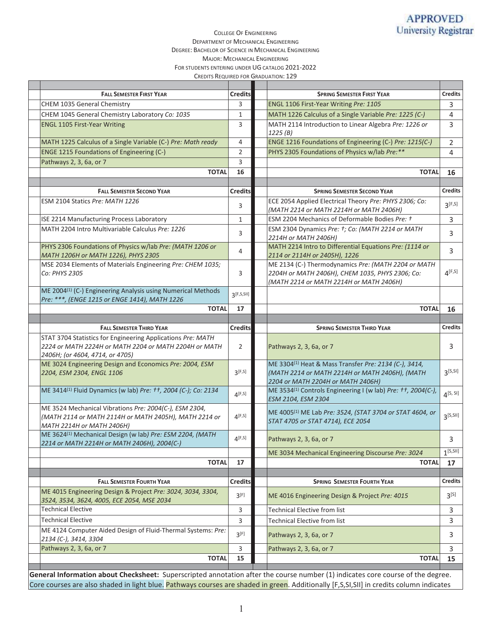### COLLEGE OF ENGINEERING DEPARTMENT OF MECHANICAL ENGINEERING DEGREE: BACHELOR OF SCIENCE IN MECHANICAL ENGINEERING MAJOR: MECHANICAL ENGINEERING FOR STUDENTS ENTERING UNDER UG CATALOG 2021-2022 CREDITS REQUIRED FOR GRADUATION: 129

| <b>FALL SEMESTER FIRST YEAR</b>                                                                                                | <b>Credits</b> | <b>SPRING SEMESTER FIRST YEAR</b>                                                                             | <b>Credits</b> |
|--------------------------------------------------------------------------------------------------------------------------------|----------------|---------------------------------------------------------------------------------------------------------------|----------------|
| CHEM 1035 General Chemistry                                                                                                    | 3              | ENGL 1106 First-Year Writing Pre: 1105                                                                        | 3              |
| CHEM 1045 General Chemistry Laboratory Co: 1035                                                                                | 1              | MATH 1226 Calculus of a Single Variable Pre: 1225 (C-)                                                        | 4              |
| <b>ENGL 1105 First-Year Writing</b>                                                                                            | 3              | MATH 2114 Introduction to Linear Algebra Pre: 1226 or                                                         | 3              |
|                                                                                                                                |                | 1225(B)                                                                                                       |                |
| MATH 1225 Calculus of a Single Variable (C-) Pre: Math ready                                                                   | 4              | ENGE 1216 Foundations of Engineering (C-) Pre: 1215(C-)                                                       | $\overline{2}$ |
| <b>ENGE 1215 Foundations of Engineering (C-)</b>                                                                               | 2              | PHYS 2305 Foundations of Physics w/lab Pre:**                                                                 | 4              |
| Pathways 2, 3, 6a, or 7                                                                                                        | 3              |                                                                                                               |                |
| <b>TOTAL</b>                                                                                                                   | 16             | <b>TOTAL</b>                                                                                                  | 16             |
|                                                                                                                                |                |                                                                                                               |                |
| <b>FALL SEMESTER SECOND YEAR</b>                                                                                               | <b>Credits</b> | <b>SPRING SEMESTER SECOND YEAR</b>                                                                            | <b>Credits</b> |
| ESM 2104 Statics Pre: MATH 1226                                                                                                | 3              | ECE 2054 Applied Electrical Theory Pre: PHYS 2306; Co:                                                        | $3^{[F,S]}$    |
|                                                                                                                                |                | (MATH 2214 or MATH 2214H or MATH 2406H)                                                                       |                |
| ISE 2214 Manufacturing Process Laboratory                                                                                      | 1              | ESM 2204 Mechanics of Deformable Bodies Pre: t                                                                | 3              |
| MATH 2204 Intro Multivariable Calculus Pre: 1226                                                                               | 3              | ESM 2304 Dynamics Pre: t; Co: (MATH 2214 or MATH<br>2214H or MATH 2406H)                                      | 3              |
| PHYS 2306 Foundations of Physics w/lab Pre: (MATH 1206 or                                                                      |                | MATH 2214 Intro to Differential Equations Pre: (1114 or                                                       | 3              |
| MATH 1206H or MATH 1226), PHYS 2305                                                                                            | 4              | 2114 or 2114H or 2405H), 1226                                                                                 |                |
| MSE 2034 Elements of Materials Engineering Pre: CHEM 1035;                                                                     |                | ME 2134 (C-) Thermodynamics Pre: (MATH 2204 or MATH                                                           |                |
| Co: PHYS 2305                                                                                                                  | 3              | 2204H or MATH 2406H), CHEM 1035, PHYS 2306; Co:                                                               | $4^{[F,S]}$    |
| ME 2004 <sup>(1)</sup> (C-) Engineering Analysis using Numerical Methods                                                       |                | (MATH 2214 or MATH 2214H or MATH 2406H)                                                                       |                |
| Pre: ***, (ENGE 1215 or ENGE 1414), MATH 1226                                                                                  | 3[F, S, SI]    |                                                                                                               |                |
| <b>TOTAL</b>                                                                                                                   | 17             | <b>TOTAL</b>                                                                                                  | 16             |
|                                                                                                                                |                |                                                                                                               |                |
| <b>FALL SEMESTER THIRD YEAR</b>                                                                                                | <b>Credits</b> | <b>SPRING SEMESTER THIRD YEAR</b>                                                                             | <b>Credits</b> |
| STAT 3704 Statistics for Engineering Applications Pre: MATH                                                                    |                |                                                                                                               |                |
| 2224 or MATH 2224H or MATH 2204 or MATH 2204H or MATH                                                                          | 2              | Pathways 2, 3, 6a, or 7                                                                                       | 3              |
| 2406H; (or 4604, 4714, or 4705)                                                                                                |                |                                                                                                               |                |
| ME 3024 Engineering Design and Economics Pre: 2004, ESM                                                                        |                | ME 3304 <sup>(1)</sup> Heat & Mass Transfer Pre: 2134 (C-), 3414,                                             |                |
| 2204, ESM 2304, ENGL 1106                                                                                                      | $3$ [F,S]      | (MATH 2214 or MATH 2214H or MATH 2406H), (MATH                                                                | $3^{[5,5]}$    |
| ME 3414 <sup>(1)</sup> Fluid Dynamics (w lab) Pre: +t, 2004 (C-); Co: 2134                                                     |                | 2204 or MATH 2204H or MATH 2406H)<br>ME 3534 <sup>(1)</sup> Controls Engineering I (w lab) Pre: tt, 2004(C-), |                |
|                                                                                                                                | 4[F, S]        | ESM 2104, ESM 2304                                                                                            | $4^{[S, SI]}$  |
| ME 3524 Mechanical Vibrations Pre: 2004(C-), ESM 2304,                                                                         |                |                                                                                                               |                |
| (MATH 2114 or MATH 2114H or MATH 2405H), MATH 2214 or                                                                          | $4^{[F,S]}$    | ME 4005 <sup>(1)</sup> ME Lab Pre: 3524, (STAT 3704 or STAT 4604, or                                          | $3^{[S, SI]}$  |
| MATH 2214H or MATH 2406H)                                                                                                      |                | STAT 4705 or STAT 4714), ECE 2054                                                                             |                |
| ME 3624 <sup>(1)</sup> Mechanical Design (w lab) Pre: ESM 2204, (MATH                                                          | $4$ [F,S]      | Pathways 2, 3, 6a, or 7                                                                                       | 3              |
| 2214 or MATH 2214H or MATH 2406H), 2004(C-)                                                                                    |                |                                                                                                               |                |
|                                                                                                                                |                | ME 3034 Mechanical Engineering Discourse Pre: 3024                                                            | $1^{5,511}$    |
| <b>TOTAL</b>                                                                                                                   | 17             | <b>TOTAL</b>                                                                                                  | 17             |
|                                                                                                                                |                | <b>SPRING SEMESTER FOURTH YEAR</b>                                                                            |                |
| <b>FALL SEMESTER FOURTH YEAR</b>                                                                                               | <b>Credits</b> |                                                                                                               | <b>Credits</b> |
| ME 4015 Engineering Design & Project Pre: 3024, 3034, 3304,<br>3524, 3534, 3624, 4005, ECE 2054, MSE 2034                      | 3[F]           | ME 4016 Engineering Design & Project Pre: 4015                                                                | $3^{[S]}$      |
| Technical Elective                                                                                                             | 3              | <b>Technical Elective from list</b>                                                                           | 3              |
| <b>Technical Elective</b>                                                                                                      | 3              | <b>Technical Elective from list</b>                                                                           | 3              |
| ME 4124 Computer Aided Design of Fluid-Thermal Systems: Pre:                                                                   |                |                                                                                                               |                |
| 2134 (C-), 3414, 3304                                                                                                          | 3[F]           | Pathways 2, 3, 6a, or 7                                                                                       | 3              |
| Pathways 2, 3, 6a, or 7                                                                                                        | 3              | Pathways 2, 3, 6a, or 7                                                                                       | 3              |
| <b>TOTAL</b>                                                                                                                   | 15             | <b>TOTAL</b>                                                                                                  | 15             |
|                                                                                                                                |                |                                                                                                               |                |
| General Information about Checksheet: Superscripted annotation after the course number (1) indicates core course of the degree |                |                                                                                                               |                |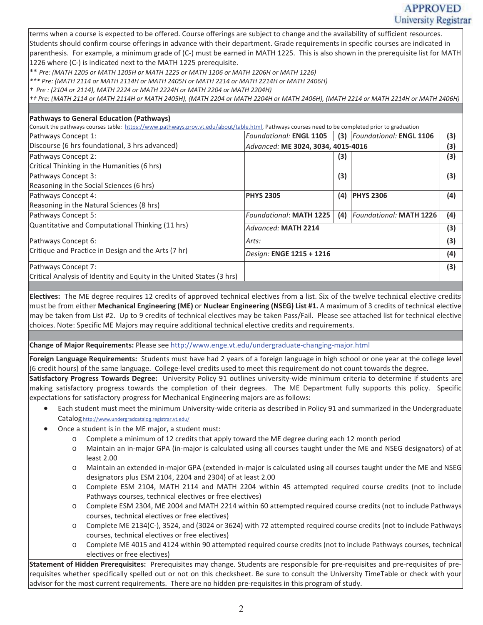# **APPROVED** University Registrar

terms when a course is expected to be offered. Course offerings are subject to change and the availability of sufficient resources. Students should confirm course offerings in advance with their department. Grade requirements in specific courses are indicated in parenthesis. For example, a minimum grade of (C-) must be earned in MATH 1225. This is also shown in the prerequisite list for MATH 1226 where (C-) is indicated next to the MATH 1225 prerequisite.

\*\* *Pre: (MATH 1205 or MATH 1205H or MATH 1225 or MATH 1206 or MATH 1206H or MATH 1226)* 

*\*\*\* Pre: (MATH 2114 or MATH 2114H or MATH 2405H or MATH 2214 or MATH 2214H or MATH 2406H)* 

*† Pre : (2104 or 2114), MATH 2224 or MATH 2224H or MATH 2204 or MATH 2204H)* 

*†† Pre: (MATH 2114 or MATH 2114H or MATH 2405H), (MATH 2204 or MATH 2204H or MATH 2406H), (MATH 2214 or MATH 2214H or MATH 2406H)*

## **Pathways to General Education (Pathways)**

Consult the pathways courses table: https://www.pathways.prov.vt.edu/about/table.html, Pathways courses need to be completed prior to graduation

| Pathways Concept 1:                                                   | <b>Foundational: ENGL 1105</b>     | (3) | Foundational: ENGL 1106        | (3) |
|-----------------------------------------------------------------------|------------------------------------|-----|--------------------------------|-----|
| Discourse (6 hrs foundational, 3 hrs advanced)                        | Advanced: ME 3024, 3034, 4015-4016 |     |                                |     |
| Pathways Concept 2:                                                   |                                    | (3) |                                | (3) |
| Critical Thinking in the Humanities (6 hrs)                           |                                    |     |                                |     |
| Pathways Concept 3:                                                   |                                    | (3) |                                | (3) |
| Reasoning in the Social Sciences (6 hrs)                              |                                    |     |                                |     |
| Pathways Concept 4:                                                   | <b>PHYS 2305</b>                   | (4) | <b>PHYS 2306</b>               | (4) |
| Reasoning in the Natural Sciences (8 hrs)                             |                                    |     |                                |     |
| Pathways Concept 5:                                                   | <b>Foundational: MATH 1225</b>     | (4) | <b>Foundational: MATH 1226</b> | (4) |
| Quantitative and Computational Thinking (11 hrs)                      | Advanced: MATH 2214                |     |                                |     |
| Pathways Concept 6:                                                   | Arts:                              |     |                                |     |
| Critique and Practice in Design and the Arts (7 hr)                   | Design: ENGE 1215 + 1216           |     |                                |     |
| Pathways Concept 7:                                                   |                                    |     |                                | (3) |
| Critical Analysis of Identity and Equity in the United States (3 hrs) |                                    |     |                                |     |

**Electives:** The ME degree requires 12 credits of approved technical electives from a list. Six of the twelve technical elective credits must be from either **Mechanical Engineering (ME)** or **Nuclear Engineering (NSEG) List #1.** A maximum of 3 credits of technical elective may be taken from List #2. Up to 9 credits of technical electives may be taken Pass/Fail. Please see attached list for technical elective choices. Note: Specific ME Majors may require additional technical elective credits and requirements.

**Change of Major Requirements:** Please see http://www.enge.vt.edu/undergraduate-changing-major.html

**Foreign Language Requirements:** Students must have had 2 years of a foreign language in high school or one year at the college level (6 credit hours) of the same language. College-level credits used to meet this requirement do not count towards the degree.

**Satisfactory Progress Towards Degree:** University Policy 91 outlines university-wide minimum criteria to determine if students are making satisfactory progress towards the completion of their degrees. The ME Department fully supports this policy. Specific expectations for satisfactory progress for Mechanical Engineering majors are as follows:

- x Each student must meet the minimum University-wide criteria as described in Policy 91 and summarized in the Undergraduate Catalog http://www.undergradcatalog.registrar.vt.edu/
- Once a student is in the ME major, a student must:
	- o Complete a minimum of 12 credits that apply toward the ME degree during each 12 month period
	- o Maintain an in-major GPA (in-major is calculated using all courses taught under the ME and NSEG designators) of at least 2.00
	- o Maintain an extended in-major GPA (extended in-major is calculated using all courses taught under the ME and NSEG designators plus ESM 2104, 2204 and 2304) of at least 2.00
	- o Complete ESM 2104, MATH 2114 and MATH 2204 within 45 attempted required course credits (not to include Pathways courses, technical electives or free electives)
	- o Complete ESM 2304, ME 2004 and MATH 2214 within 60 attempted required course credits (not to include Pathways courses, technical electives or free electives)
	- o Complete ME 2134(C-), 3524, and (3024 or 3624) with 72 attempted required course credits (not to include Pathways courses, technical electives or free electives)
	- o Complete ME 4015 and 4124 within 90 attempted required course credits (not to include Pathways courses, technical electives or free electives)

**Statement of Hidden Prerequisites:** Prerequisites may change. Students are responsible for pre-requisites and pre-requisites of prerequisites whether specifically spelled out or not on this checksheet. Be sure to consult the University TimeTable or check with your advisor for the most current requirements. There are no hidden pre-requisites in this program of study.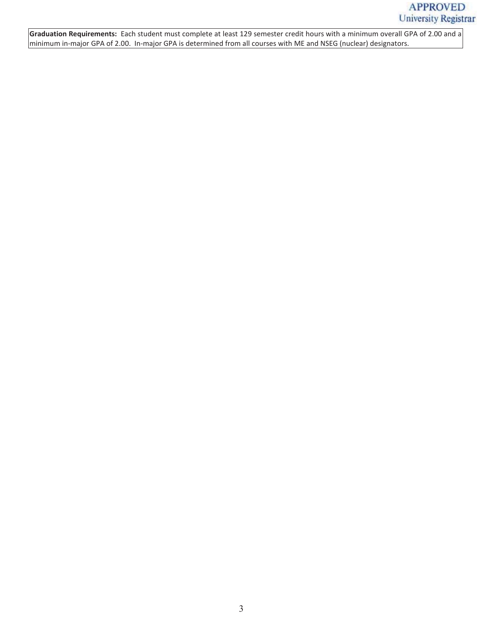**Graduation Requirements:** Each student must complete at least 129 semester credit hours with a minimum overall GPA of 2.00 and a minimum in-major GPA of 2.00. In-major GPA is determined from all courses with ME and NSEG (nuclear) designators.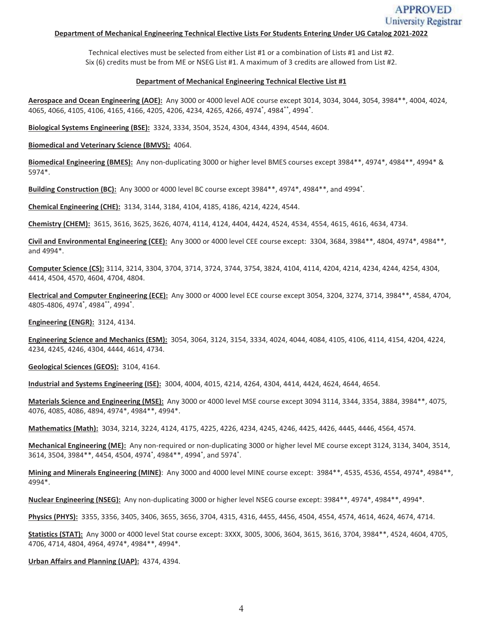# **APPROVED** University Registrar

### **Department of Mechanical Engineering Technical Elective Lists For Students Entering Under UG Catalog 2021-2022**

Technical electives must be selected from either List #1 or a combination of Lists #1 and List #2. Six (6) credits must be from ME or NSEG List #1. A maximum of 3 credits are allowed from List #2.

#### **Department of Mechanical Engineering Technical Elective List #1**

**Aerospace and Ocean Engineering (AOE):** Any 3000 or 4000 level AOE course except 3014, 3034, 3044, 3054, 3984\*\*, 4004, 4024, 4065, 4066, 4105, 4106, 4165, 4166, 4205, 4206, 4234, 4265, 4266, 4974\* , 4984\*\*, 4994\* .

**Biological Systems Engineering (BSE):** 3324, 3334, 3504, 3524, 4304, 4344, 4394, 4544, 4604.

**Biomedical and Veterinary Science (BMVS):** 4064.

**Biomedical Engineering (BMES):** Any non-duplicating 3000 or higher level BMES courses except 3984\*\*, 4974\*, 4984\*\*, 4994\* & 5974\*.

**Building Construction (BC):** Any 3000 or 4000 level BC course except 3984\*\*, 4974\*, 4984\*\*, and 4994\* .

**Chemical Engineering (CHE):** 3134, 3144, 3184, 4104, 4185, 4186, 4214, 4224, 4544.

**Chemistry (CHEM):** 3615, 3616, 3625, 3626, 4074, 4114, 4124, 4404, 4424, 4524, 4534, 4554, 4615, 4616, 4634, 4734.

**Civil and Environmental Engineering (CEE):** Any 3000 or 4000 level CEE course except: 3304, 3684, 3984\*\*, 4804, 4974\*, 4984\*\*, and 4994\*.

**Computer Science (CS):** 3114, 3214, 3304, 3704, 3714, 3724, 3744, 3754, 3824, 4104, 4114, 4204, 4214, 4234, 4244, 4254, 4304, 4414, 4504, 4570, 4604, 4704, 4804.

**Electrical and Computer Engineering (ECE):** Any 3000 or 4000 level ECE course except 3054, 3204, 3274, 3714, 3984\*\*, 4584, 4704, 4805-4806, 4974\* , 4984\*\*, 4994\* .

**Engineering (ENGR):** 3124, 4134.

**Engineering Science and Mechanics (ESM):** 3054, 3064, 3124, 3154, 3334, 4024, 4044, 4084, 4105, 4106, 4114, 4154, 4204, 4224, 4234, 4245, 4246, 4304, 4444, 4614, 4734.

**Geological Sciences (GEOS):** 3104, 4164.

**Industrial and Systems Engineering (ISE):** 3004, 4004, 4015, 4214, 4264, 4304, 4414, 4424, 4624, 4644, 4654.

**Materials Science and Engineering (MSE):** Any 3000 or 4000 level MSE course except 3094 3114, 3344, 3354, 3884, 3984\*\*, 4075, 4076, 4085, 4086, 4894, 4974\*, 4984\*\*, 4994\*.

**Mathematics (Math):** 3034, 3214, 3224, 4124, 4175, 4225, 4226, 4234, 4245, 4246, 4425, 4426, 4445, 4446, 4564, 4574.

**Mechanical Engineering (ME):** Any non-required or non-duplicating 3000 or higher level ME course except 3124, 3134, 3404, 3514, 3614, 3504, 3984\*\*, 4454, 4504, 4974\* , 4984\*\*, 4994\* , and 5974\* .

**Mining and Minerals Engineering (MINE)**: Any 3000 and 4000 level MINE course except: 3984\*\*, 4535, 4536, 4554, 4974\*, 4984\*\*, 4994\*.

**Nuclear Engineering (NSEG):** Any non-duplicating 3000 or higher level NSEG course except: 3984\*\*, 4974\*, 4984\*\*, 4994\*.

**Physics (PHYS):** 3355, 3356, 3405, 3406, 3655, 3656, 3704, 4315, 4316, 4455, 4456, 4504, 4554, 4574, 4614, 4624, 4674, 4714.

**Statistics (STAT):** Any 3000 or 4000 level Stat course except: 3XXX, 3005, 3006, 3604, 3615, 3616, 3704, 3984\*\*, 4524, 4604, 4705, 4706, 4714, 4804, 4964, 4974\*, 4984\*\*, 4994\*.

**Urban Affairs and Planning (UAP):** 4374, 4394.